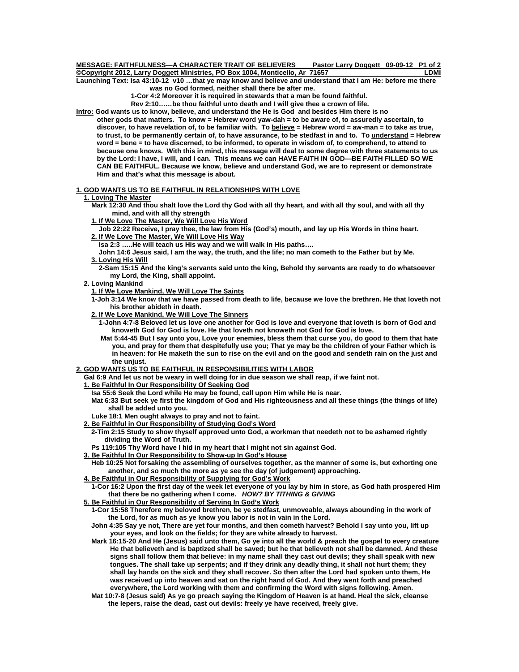#### **MESSAGE: FAITHFULNESS—A CHARACTER TRAIT OF BELIEVERS Pastor Larry Doggett 09-09-12 P1 of 2 Copyright 2012, Larry Doggett Ministries, PO Box 1004, Monticello, Ar 71657** Elements of the MI

**Launching Text: Isa 43:10-12 v10 …that ye may know and believe and understand that I am He: before me there was no God formed, neither shall there be after me.** 

 **1-Cor 4:2 Moreover it is required in stewards that a man be found faithful.** 

 **Rev 2:10……be thou faithful unto death and I will give thee a crown of life.** 

**Intro: God wants us to know, believe, and understand the He is God and besides Him there is no** 

 **other gods that matters. To know = Hebrew word yaw-dah = to be aware of, to assuredly ascertain, to discover, to have revelation of, to be familiar with. To believe = Hebrew word = aw-man = to take as true, to trust, to be permanently certain of, to have assurance, to be stedfast in and to. To understand = Hebrew word = bene = to have discerned, to be informed, to operate in wisdom of, to comprehend, to attend to because one knows. With this in mind, this message will deal to some degree with three statements to us by the Lord: I have, I will, and I can. This means we can HAVE FAITH IN GOD—BE FAITH FILLED SO WE CAN BE FAITHFUL. Because we know, believe and understand God, we are to represent or demonstrate Him and that's what this message is about.** 

#### **1. GOD WANTS US TO BE FAITHFUL IN RELATIONSHIPS WITH LOVE**

## **1. Loving The Master**

 **Mark 12:30 And thou shalt love the Lord thy God with all thy heart, and with all thy soul, and with all thy mind, and with all thy strength** 

 **1. If We Love The Master, We Will Love His Word**

 **Job 22:22 Receive, I pray thee, the law from His (God's) mouth, and lay up His Words in thine heart. 2. If We Love The Master, We Will Love His Way**

 **Isa 2:3 …..He will teach us His way and we will walk in His paths….** 

 **John 14:6 Jesus said, I am the way, the truth, and the life; no man cometh to the Father but by Me. 3. Loving His Will**

 **2-Sam 15:15 And the king's servants said unto the king, Behold thy servants are ready to do whatsoever my Lord, the King, shall appoint.** 

 **2. Loving Mankind**

 **1. If We Love Mankind, We Will Love The Saints**

 **1-Joh 3:14 We know that we have passed from death to life, because we love the brethren. He that loveth not his brother abideth in death.** 

 **2. If We Love Mankind, We Will Love The Sinners**

 **1-John 4:7-8 Beloved let us love one another for God is love and everyone that loveth is born of God and knoweth God for God is love. He that loveth not knoweth not God for God is love.** 

 **Mat 5:44-45 But I say unto you, Love your enemies, bless them that curse you, do good to them that hate you, and pray for them that despitefully use you; That ye may be the children of your Father which is in heaven: for He maketh the sun to rise on the evil and on the good and sendeth rain on the just and the unjust.** 

#### **2. GOD WANTS US TO BE FAITHFUL IN RESPONSIBILITIES WITH LABOR**

 **Gal 6:9 And let us not be weary in well doing for in due season we shall reap, if we faint not.** 

- **1. Be Faithful In Our Responsibility Of Seeking God**
	- **Isa 55:6 Seek the Lord while He may be found, call upon Him while He is near.**

 **Mat 6:33 But seek ye first the kingdom of God and His righteousness and all these things (the things of life) shall be added unto you.** 

- **Luke 18:1 Men ought always to pray and not to faint.**
- **2. Be Faithful in Our Responsibility of Studying God's Word**

 **2-Tim 2:15 Study to show thyself approved unto God, a workman that needeth not to be ashamed rightly dividing the Word of Truth.** 

- **Ps 119:105 Thy Word have I hid in my heart that I might not sin against God.**
- **3. Be Faithful In Our Responsibility to Show-up In God's House**

 **Heb 10:25 Not forsaking the assembling of ourselves together, as the manner of some is, but exhorting one another, and so much the more as ye see the day (of judgement) approaching.** 

 **4. Be Faithful in Our Responsibility of Supplying for God's Work**

 **1-Cor 16:2 Upon the first day of the week let everyone of you lay by him in store, as God hath prospered Him that there be no gathering when I come.** *HOW? BY TITHING & GIVING*

 **5. Be Faithful in Our Responsibility of Serving In God's Work**

 **1-Cor 15:58 Therefore my beloved brethren, be ye stedfast, unmoveable, always abounding in the work of the Lord, for as much as ye know you labor is not in vain in the Lord.** 

 **John 4:35 Say ye not, There are yet four months, and then cometh harvest? Behold I say unto you, lift up your eyes, and look on the fields; for they are white already to harvest.** 

 **Mark 16:15-20 And He (Jesus) said unto them, Go ye into all the world & preach the gospel to every creature He that believeth and is baptized shall be saved; but he that believeth not shall be damned. And these signs shall follow them that believe: in my name shall they cast out devils; they shall speak with new tongues. The shall take up serpents; and if they drink any deadly thing, it shall not hurt them; they shall lay hands on the sick and they shall recover. So then after the Lord had spoken unto them, He was received up into heaven and sat on the right hand of God. And they went forth and preached everywhere, the Lord working with them and confirming the Word with signs following. Amen.** 

 **Mat 10:7-8 (Jesus said) As ye go preach saying the Kingdom of Heaven is at hand. Heal the sick, cleanse the lepers, raise the dead, cast out devils: freely ye have received, freely give.**